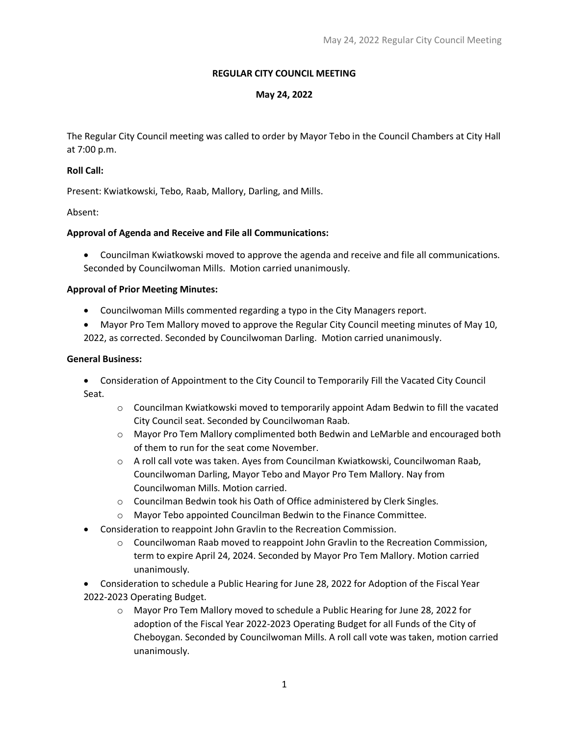# **REGULAR CITY COUNCIL MEETING**

## **May 24, 2022**

The Regular City Council meeting was called to order by Mayor Tebo in the Council Chambers at City Hall at 7:00 p.m.

### **Roll Call:**

Present: Kwiatkowski, Tebo, Raab, Mallory, Darling, and Mills.

Absent:

## **Approval of Agenda and Receive and File all Communications:**

• Councilman Kwiatkowski moved to approve the agenda and receive and file all communications. Seconded by Councilwoman Mills. Motion carried unanimously.

## **Approval of Prior Meeting Minutes:**

- Councilwoman Mills commented regarding a typo in the City Managers report.
- Mayor Pro Tem Mallory moved to approve the Regular City Council meeting minutes of May 10, 2022, as corrected. Seconded by Councilwoman Darling. Motion carried unanimously.

## **General Business:**

- Consideration of Appointment to the City Council to Temporarily Fill the Vacated City Council Seat.
	- $\circ$  Councilman Kwiatkowski moved to temporarily appoint Adam Bedwin to fill the vacated City Council seat. Seconded by Councilwoman Raab.
	- o Mayor Pro Tem Mallory complimented both Bedwin and LeMarble and encouraged both of them to run for the seat come November.
	- $\circ$  A roll call vote was taken. Ayes from Councilman Kwiatkowski, Councilwoman Raab, Councilwoman Darling, Mayor Tebo and Mayor Pro Tem Mallory. Nay from Councilwoman Mills. Motion carried.
	- o Councilman Bedwin took his Oath of Office administered by Clerk Singles.
	- o Mayor Tebo appointed Councilman Bedwin to the Finance Committee.
- Consideration to reappoint John Gravlin to the Recreation Commission.
	- $\circ$  Councilwoman Raab moved to reappoint John Gravlin to the Recreation Commission, term to expire April 24, 2024. Seconded by Mayor Pro Tem Mallory. Motion carried unanimously.
- Consideration to schedule a Public Hearing for June 28, 2022 for Adoption of the Fiscal Year 2022-2023 Operating Budget.
	- o Mayor Pro Tem Mallory moved to schedule a Public Hearing for June 28, 2022 for adoption of the Fiscal Year 2022-2023 Operating Budget for all Funds of the City of Cheboygan. Seconded by Councilwoman Mills. A roll call vote was taken, motion carried unanimously.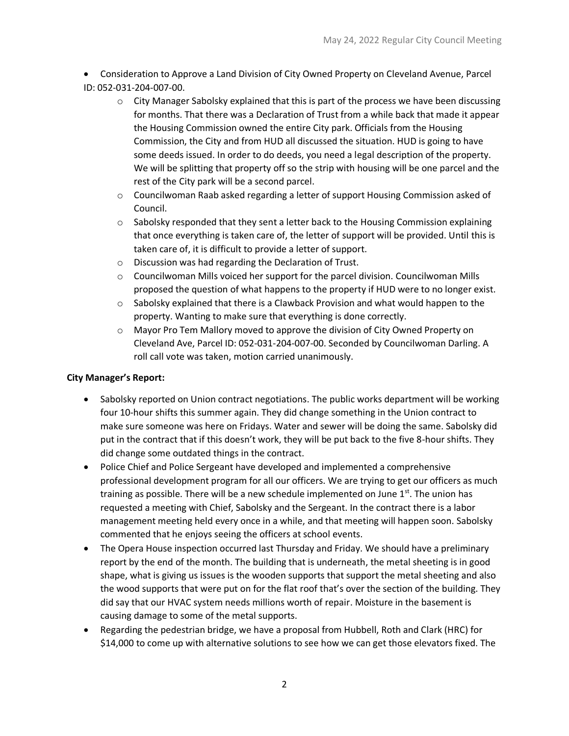• Consideration to Approve a Land Division of City Owned Property on Cleveland Avenue, Parcel ID: 052-031-204-007-00.

- $\circ$  City Manager Sabolsky explained that this is part of the process we have been discussing for months. That there was a Declaration of Trust from a while back that made it appear the Housing Commission owned the entire City park. Officials from the Housing Commission, the City and from HUD all discussed the situation. HUD is going to have some deeds issued. In order to do deeds, you need a legal description of the property. We will be splitting that property off so the strip with housing will be one parcel and the rest of the City park will be a second parcel.
- $\circ$  Councilwoman Raab asked regarding a letter of support Housing Commission asked of Council.
- $\circ$  Sabolsky responded that they sent a letter back to the Housing Commission explaining that once everything is taken care of, the letter of support will be provided. Until this is taken care of, it is difficult to provide a letter of support.
- o Discussion was had regarding the Declaration of Trust.
- o Councilwoman Mills voiced her support for the parcel division. Councilwoman Mills proposed the question of what happens to the property if HUD were to no longer exist.
- $\circ$  Sabolsky explained that there is a Clawback Provision and what would happen to the property. Wanting to make sure that everything is done correctly.
- o Mayor Pro Tem Mallory moved to approve the division of City Owned Property on Cleveland Ave, Parcel ID: 052-031-204-007-00. Seconded by Councilwoman Darling. A roll call vote was taken, motion carried unanimously.

### **City Manager's Report:**

- Sabolsky reported on Union contract negotiations. The public works department will be working four 10-hour shifts this summer again. They did change something in the Union contract to make sure someone was here on Fridays. Water and sewer will be doing the same. Sabolsky did put in the contract that if this doesn't work, they will be put back to the five 8-hour shifts. They did change some outdated things in the contract.
- Police Chief and Police Sergeant have developed and implemented a comprehensive professional development program for all our officers. We are trying to get our officers as much training as possible. There will be a new schedule implemented on June  $1^{st}$ . The union has requested a meeting with Chief, Sabolsky and the Sergeant. In the contract there is a labor management meeting held every once in a while, and that meeting will happen soon. Sabolsky commented that he enjoys seeing the officers at school events.
- The Opera House inspection occurred last Thursday and Friday. We should have a preliminary report by the end of the month. The building that is underneath, the metal sheeting is in good shape, what is giving us issues is the wooden supports that support the metal sheeting and also the wood supports that were put on for the flat roof that's over the section of the building. They did say that our HVAC system needs millions worth of repair. Moisture in the basement is causing damage to some of the metal supports.
- Regarding the pedestrian bridge, we have a proposal from Hubbell, Roth and Clark (HRC) for \$14,000 to come up with alternative solutions to see how we can get those elevators fixed. The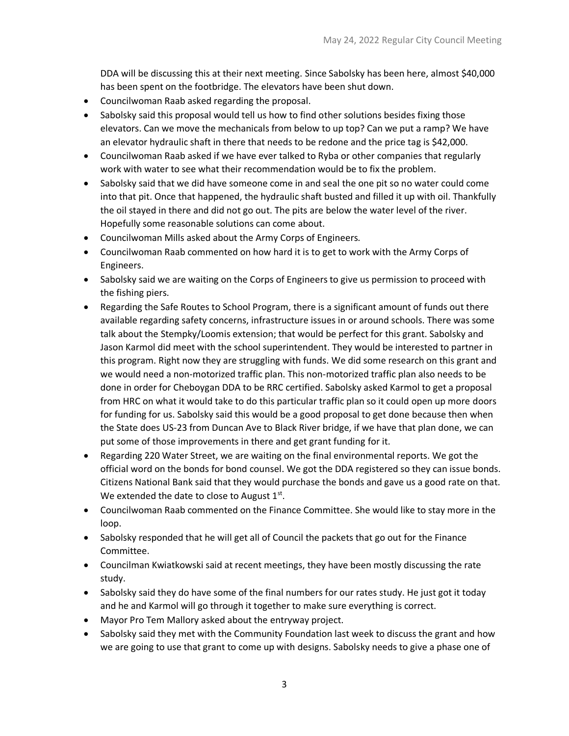DDA will be discussing this at their next meeting. Since Sabolsky has been here, almost \$40,000 has been spent on the footbridge. The elevators have been shut down.

- Councilwoman Raab asked regarding the proposal.
- Sabolsky said this proposal would tell us how to find other solutions besides fixing those elevators. Can we move the mechanicals from below to up top? Can we put a ramp? We have an elevator hydraulic shaft in there that needs to be redone and the price tag is \$42,000.
- Councilwoman Raab asked if we have ever talked to Ryba or other companies that regularly work with water to see what their recommendation would be to fix the problem.
- Sabolsky said that we did have someone come in and seal the one pit so no water could come into that pit. Once that happened, the hydraulic shaft busted and filled it up with oil. Thankfully the oil stayed in there and did not go out. The pits are below the water level of the river. Hopefully some reasonable solutions can come about.
- Councilwoman Mills asked about the Army Corps of Engineers.
- Councilwoman Raab commented on how hard it is to get to work with the Army Corps of Engineers.
- Sabolsky said we are waiting on the Corps of Engineers to give us permission to proceed with the fishing piers.
- Regarding the Safe Routes to School Program, there is a significant amount of funds out there available regarding safety concerns, infrastructure issues in or around schools. There was some talk about the Stempky/Loomis extension; that would be perfect for this grant. Sabolsky and Jason Karmol did meet with the school superintendent. They would be interested to partner in this program. Right now they are struggling with funds. We did some research on this grant and we would need a non-motorized traffic plan. This non-motorized traffic plan also needs to be done in order for Cheboygan DDA to be RRC certified. Sabolsky asked Karmol to get a proposal from HRC on what it would take to do this particular traffic plan so it could open up more doors for funding for us. Sabolsky said this would be a good proposal to get done because then when the State does US-23 from Duncan Ave to Black River bridge, if we have that plan done, we can put some of those improvements in there and get grant funding for it.
- Regarding 220 Water Street, we are waiting on the final environmental reports. We got the official word on the bonds for bond counsel. We got the DDA registered so they can issue bonds. Citizens National Bank said that they would purchase the bonds and gave us a good rate on that. We extended the date to close to August  $1<sup>st</sup>$ .
- Councilwoman Raab commented on the Finance Committee. She would like to stay more in the loop.
- Sabolsky responded that he will get all of Council the packets that go out for the Finance Committee.
- Councilman Kwiatkowski said at recent meetings, they have been mostly discussing the rate study.
- Sabolsky said they do have some of the final numbers for our rates study. He just got it today and he and Karmol will go through it together to make sure everything is correct.
- Mayor Pro Tem Mallory asked about the entryway project.
- Sabolsky said they met with the Community Foundation last week to discuss the grant and how we are going to use that grant to come up with designs. Sabolsky needs to give a phase one of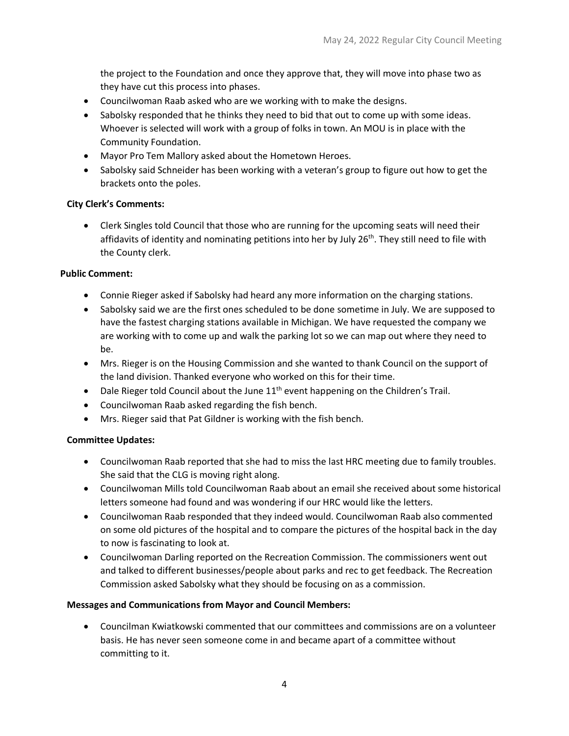the project to the Foundation and once they approve that, they will move into phase two as they have cut this process into phases.

- Councilwoman Raab asked who are we working with to make the designs.
- Sabolsky responded that he thinks they need to bid that out to come up with some ideas. Whoever is selected will work with a group of folks in town. An MOU is in place with the Community Foundation.
- Mayor Pro Tem Mallory asked about the Hometown Heroes.
- Sabolsky said Schneider has been working with a veteran's group to figure out how to get the brackets onto the poles.

### **City Clerk's Comments:**

• Clerk Singles told Council that those who are running for the upcoming seats will need their affidavits of identity and nominating petitions into her by July 26<sup>th</sup>. They still need to file with the County clerk.

#### **Public Comment:**

- Connie Rieger asked if Sabolsky had heard any more information on the charging stations.
- Sabolsky said we are the first ones scheduled to be done sometime in July. We are supposed to have the fastest charging stations available in Michigan. We have requested the company we are working with to come up and walk the parking lot so we can map out where they need to be.
- Mrs. Rieger is on the Housing Commission and she wanted to thank Council on the support of the land division. Thanked everyone who worked on this for their time.
- Dale Rieger told Council about the June  $11<sup>th</sup>$  event happening on the Children's Trail.
- Councilwoman Raab asked regarding the fish bench.
- Mrs. Rieger said that Pat Gildner is working with the fish bench.

### **Committee Updates:**

- Councilwoman Raab reported that she had to miss the last HRC meeting due to family troubles. She said that the CLG is moving right along.
- Councilwoman Mills told Councilwoman Raab about an email she received about some historical letters someone had found and was wondering if our HRC would like the letters.
- Councilwoman Raab responded that they indeed would. Councilwoman Raab also commented on some old pictures of the hospital and to compare the pictures of the hospital back in the day to now is fascinating to look at.
- Councilwoman Darling reported on the Recreation Commission. The commissioners went out and talked to different businesses/people about parks and rec to get feedback. The Recreation Commission asked Sabolsky what they should be focusing on as a commission.

### **Messages and Communications from Mayor and Council Members:**

• Councilman Kwiatkowski commented that our committees and commissions are on a volunteer basis. He has never seen someone come in and became apart of a committee without committing to it.